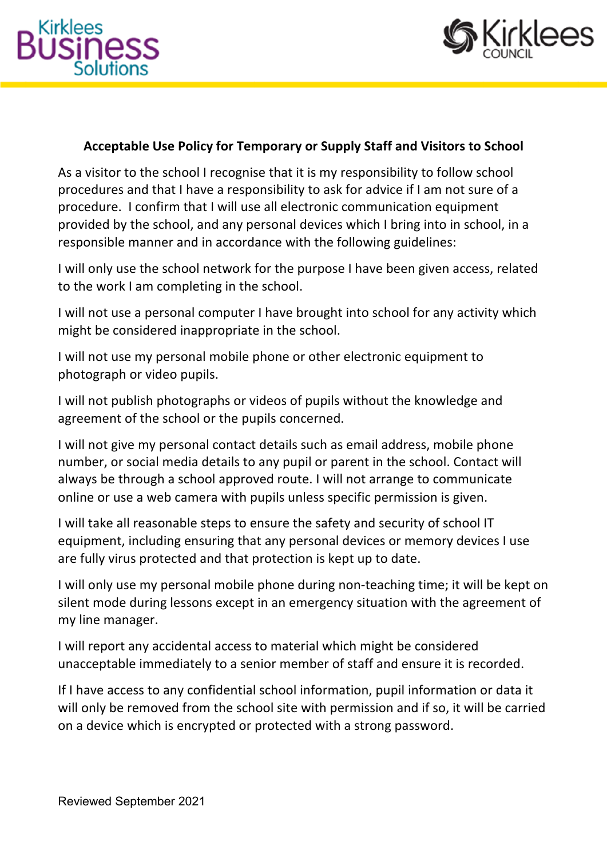



## **Acceptable Use Policy for Temporary or Supply Staff and Visitors to School**

As a visitor to the school I recognise that it is my responsibility to follow school procedures and that I have a responsibility to ask for advice if I am not sure of a procedure. I confirm that I will use all electronic communication equipment provided by the school, and any personal devices which I bring into in school, in a responsible manner and in accordance with the following guidelines:

I will only use the school network for the purpose I have been given access, related to the work I am completing in the school.

I will not use a personal computer I have brought into school for any activity which might be considered inappropriate in the school.

I will not use my personal mobile phone or other electronic equipment to photograph or video pupils.

I will not publish photographs or videos of pupils without the knowledge and agreement of the school or the pupils concerned.

I will not give my personal contact details such as email address, mobile phone number, or social media details to any pupil or parent in the school. Contact will always be through a school approved route. I will not arrange to communicate online or use a web camera with pupils unless specific permission is given.

I will take all reasonable steps to ensure the safety and security of school IT equipment, including ensuring that any personal devices or memory devices I use are fully virus protected and that protection is kept up to date.

I will only use my personal mobile phone during non-teaching time; it will be kept on silent mode during lessons except in an emergency situation with the agreement of my line manager.

I will report any accidental access to material which might be considered unacceptable immediately to a senior member of staff and ensure it is recorded.

If I have access to any confidential school information, pupil information or data it will only be removed from the school site with permission and if so, it will be carried on a device which is encrypted or protected with a strong password.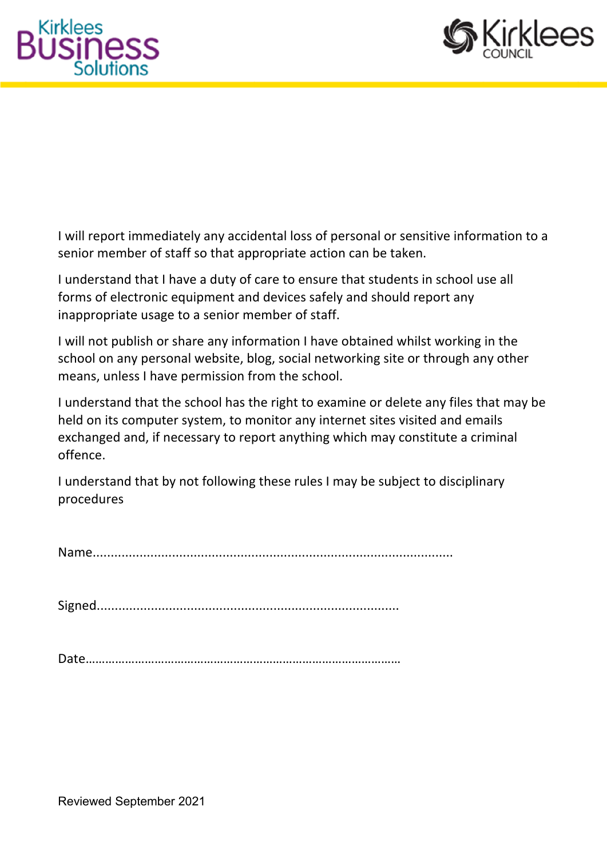



I will report immediately any accidental loss of personal or sensitive information to a senior member of staff so that appropriate action can be taken.

I understand that I have a duty of care to ensure that students in school use all forms of electronic equipment and devices safely and should report any inappropriate usage to a senior member of staff.

I will not publish or share any information I have obtained whilst working in the school on any personal website, blog, social networking site or through any other means, unless I have permission from the school.

I understand that the school has the right to examine or delete any files that may be held on its computer system, to monitor any internet sites visited and emails exchanged and, if necessary to report anything which may constitute a criminal offence.

I understand that by not following these rules I may be subject to disciplinary procedures

Name....................................................................................................

Signed....................................................................................

Date……………………………………………………………………………………